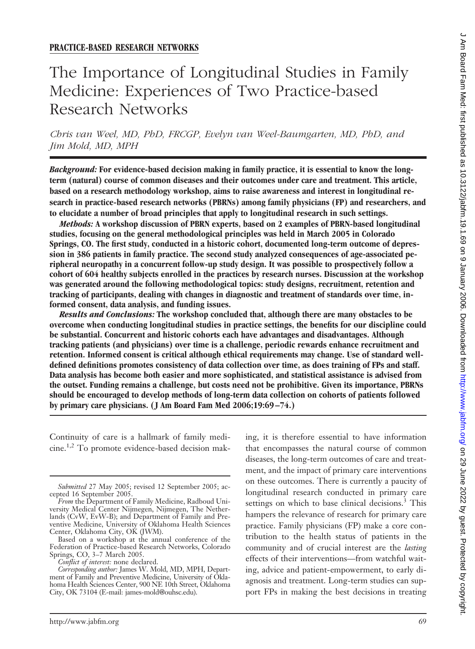# The Importance of Longitudinal Studies in Family Medicine: Experiences of Two Practice-based Research Networks

*Chris van Weel, MD, PhD, FRCGP, Evelyn van Weel-Baumgarten, MD, PhD, and Jim Mold, MD, MPH*

*Background:* **For evidence-based decision making in family practice, it is essential to know the longterm (natural) course of common diseases and their outcomes under care and treatment. This article, based on a research methodology workshop, aims to raise awareness and interest in longitudinal research in practice-based research networks (PBRNs) among family physicians (FP) and researchers, and to elucidate a number of broad principles that apply to longitudinal research in such settings.**

*Methods:* **A workshop discussion of PBRN experts, based on 2 examples of PBRN-based longitudinal studies, focusing on the general methodological principles was held in March 2005 in Colorado Springs, CO. The first study, conducted in a historic cohort, documented long-term outcome of depression in 386 patients in family practice. The second study analyzed consequences of age-associated peripheral neuropathy in a concurrent follow-up study design. It was possible to prospectively follow a cohort of 604 healthy subjects enrolled in the practices by research nurses. Discussion at the workshop was generated around the following methodological topics: study designs, recruitment, retention and tracking of participants, dealing with changes in diagnostic and treatment of standards over time, informed consent, data analysis, and funding issues.**

*Results and Conclusions:* **The workshop concluded that, although there are many obstacles to be overcome when conducting longitudinal studies in practice settings, the benefits for our discipline could be substantial. Concurrent and historic cohorts each have advantages and disadvantages. Although tracking patients (and physicians) over time is a challenge, periodic rewards enhance recruitment and retention. Informed consent is critical although ethical requirements may change. Use of standard welldefined definitions promotes consistency of data collection over time, as does training of FPs and staff. Data analysis has become both easier and more sophisticated, and statistical assistance is advised from the outset. Funding remains a challenge, but costs need not be prohibitive. Given its importance, PBRNs should be encouraged to develop methods of long-term data collection on cohorts of patients followed by primary care physicians. ( J Am Board Fam Med 2006;19:69 –74.)**

Continuity of care is a hallmark of family medicine.1,2 To promote evidence-based decision mak-

*Conflict of interest:* none declared.

*Corresponding author:* James W. Mold, MD, MPH, Department of Family and Preventive Medicine, University of Oklahoma Health Sciences Center, 900 NE 10th Street, Oklahoma City, OK 73104 (E-mail: james-mold@ouhsc.edu).

ing, it is therefore essential to have information that encompasses the natural course of common diseases, the long-term outcomes of care and treatment, and the impact of primary care interventions on these outcomes. There is currently a paucity of longitudinal research conducted in primary care settings on which to base clinical decisions.<sup>3</sup> This hampers the relevance of research for primary care practice. Family physicians (FP) make a core contribution to the health status of patients in the community and of crucial interest are the *lasting* effects of their interventions—from watchful waiting, advice and patient-empowerment, to early diagnosis and treatment. Long-term studies can support FPs in making the best decisions in treating

*Submitted* 27 May 2005; revised 12 September 2005; accepted 16 September 2005.

*From* the Department of Family Medicine, Radboud University Medical Center Nijmegen, Nijmegen, The Netherlands (CvW, EvW-B); and Department of Family and Preventive Medicine, University of Oklahoma Health Sciences Center, Oklahoma City, OK (JWM).

Based on a workshop at the annual conference of the Federation of Practice-based Research Networks, Colorado Springs, CO, 3–7 March 2005.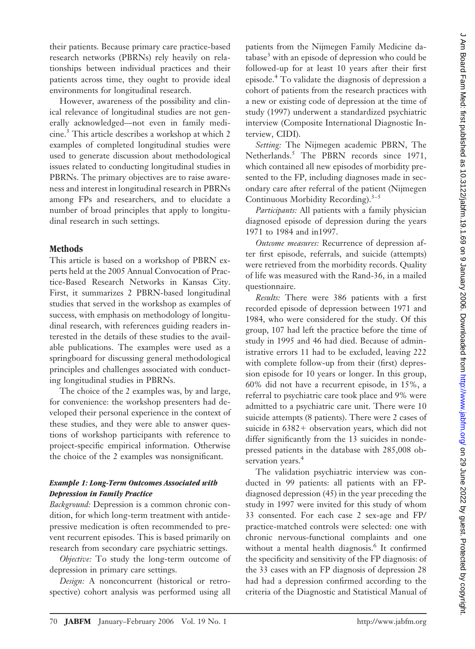their patients. Because primary care practice-based research networks (PBRNs) rely heavily on relationships between individual practices and their patients across time, they ought to provide ideal environments for longitudinal research.

However, awareness of the possibility and clinical relevance of longitudinal studies are not generally acknowledged—not even in family medicine.3 This article describes a workshop at which 2 examples of completed longitudinal studies were used to generate discussion about methodological issues related to conducting longitudinal studies in PBRNs. The primary objectives are to raise awareness and interest in longitudinal research in PBRNs among FPs and researchers, and to elucidate a number of broad principles that apply to longitudinal research in such settings.

## **Methods**

This article is based on a workshop of PBRN experts held at the 2005 Annual Convocation of Practice-Based Research Networks in Kansas City. First, it summarizes 2 PBRN-based longitudinal studies that served in the workshop as examples of success, with emphasis on methodology of longitudinal research, with references guiding readers interested in the details of these studies to the available publications. The examples were used as a springboard for discussing general methodological principles and challenges associated with conducting longitudinal studies in PBRNs.

The choice of the 2 examples was, by and large, for convenience: the workshop presenters had developed their personal experience in the context of these studies, and they were able to answer questions of workshop participants with reference to project-specific empirical information. Otherwise the choice of the 2 examples was nonsignificant.

## *Example 1: Long-Term Outcomes Associated with Depression in Family Practice*

*Background:* Depression is a common chronic condition, for which long-term treatment with antidepressive medication is often recommended to prevent recurrent episodes. This is based primarily on research from secondary care psychiatric settings.

*Objective:* To study the long-term outcome of depression in primary care settings.

*Design:* A nonconcurrent (historical or retrospective) cohort analysis was performed using all patients from the Nijmegen Family Medicine database3 with an episode of depression who could be followed-up for at least 10 years after their first episode.4 To validate the diagnosis of depression a cohort of patients from the research practices with a new or existing code of depression at the time of study (1997) underwent a standardized psychiatric interview (Composite International Diagnostic Interview, CIDI).

*Setting:* The Nijmegen academic PBRN, The Netherlands.<sup>5</sup> The PBRN records since 1971, which contained all new episodes of morbidity presented to the FP, including diagnoses made in secondary care after referral of the patient (Nijmegen Continuous Morbidity Recording). $3-5$ 

*Participants:* All patients with a family physician diagnosed episode of depression during the years 1971 to 1984 and in1997.

*Outcome measures:* Recurrence of depression after first episode, referrals, and suicide (attempts) were retrieved from the morbidity records. Quality of life was measured with the Rand-36, in a mailed questionnaire.

*Results:* There were 386 patients with a first recorded episode of depression between 1971 and 1984, who were considered for the study. Of this group, 107 had left the practice before the time of study in 1995 and 46 had died. Because of administrative errors 11 had to be excluded, leaving 222 with complete follow-up from their (first) depression episode for 10 years or longer. In this group, 60% did not have a recurrent episode, in 15%, a referral to psychiatric care took place and 9% were admitted to a psychiatric care unit. There were 10 suicide attempts (8 patients). There were 2 cases of suicide in  $6382 +$  observation years, which did not differ significantly from the 13 suicides in nondepressed patients in the database with 285,008 observation years.<sup>4</sup>

The validation psychiatric interview was conducted in 99 patients: all patients with an FPdiagnosed depression (45) in the year preceding the study in 1997 were invited for this study of whom 33 consented. For each case 2 sex-age and FP/ practice-matched controls were selected: one with chronic nervous-functional complaints and one without a mental health diagnosis.<sup>6</sup> It confirmed the specificity and sensitivity of the FP diagnosis: of the 33 cases with an FP diagnosis of depression 28 had had a depression confirmed according to the criteria of the Diagnostic and Statistical Manual of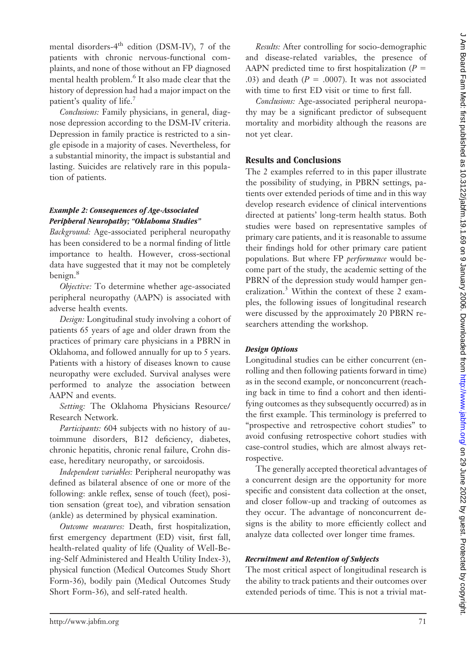mental disorders-4<sup>th</sup> edition (DSM-IV), 7 of the patients with chronic nervous-functional complaints, and none of those without an FP diagnosed mental health problem.<sup>6</sup> It also made clear that the history of depression had had a major impact on the patient's quality of life.<sup>7</sup>

*Conclusions:* Family physicians, in general, diagnose depression according to the DSM-IV criteria. Depression in family practice is restricted to a single episode in a majority of cases. Nevertheless, for a substantial minority, the impact is substantial and lasting. Suicides are relatively rare in this population of patients.

# *Example 2: Consequences of Age-Associated Peripheral Neuropathy; "Oklahoma Studies"*

*Background:* Age-associated peripheral neuropathy has been considered to be a normal finding of little importance to health. However, cross-sectional data have suggested that it may not be completely benign.<sup>8</sup>

*Objective:* To determine whether age-associated peripheral neuropathy (AAPN) is associated with adverse health events.

*Design:* Longitudinal study involving a cohort of patients 65 years of age and older drawn from the practices of primary care physicians in a PBRN in Oklahoma, and followed annually for up to 5 years. Patients with a history of diseases known to cause neuropathy were excluded. Survival analyses were performed to analyze the association between AAPN and events.

*Setting:* The Oklahoma Physicians Resource/ Research Network.

*Participants:* 604 subjects with no history of autoimmune disorders, B12 deficiency, diabetes, chronic hepatitis, chronic renal failure, Crohn disease, hereditary neuropathy, or sarcoidosis.

*Independent variables:* Peripheral neuropathy was defined as bilateral absence of one or more of the following: ankle reflex, sense of touch (feet), position sensation (great toe), and vibration sensation (ankle) as determined by physical examination.

*Outcome measures:* Death, first hospitalization, first emergency department (ED) visit, first fall, health-related quality of life (Quality of Well-Being-Self Administered and Health Utility Index-3), physical function (Medical Outcomes Study Short Form-36), bodily pain (Medical Outcomes Study Short Form-36), and self-rated health.

*Results:* After controlling for socio-demographic and disease-related variables, the presence of AAPN predicted time to first hospitalization  $(P =$ .03) and death  $(P = .0007)$ . It was not associated with time to first ED visit or time to first fall.

*Conclusions:* Age-associated peripheral neuropathy may be a significant predictor of subsequent mortality and morbidity although the reasons are not yet clear.

## **Results and Conclusions**

The 2 examples referred to in this paper illustrate the possibility of studying, in PBRN settings, patients over extended periods of time and in this way develop research evidence of clinical interventions directed at patients' long-term health status. Both studies were based on representative samples of primary care patients, and it is reasonable to assume their findings hold for other primary care patient populations. But where FP *performance* would become part of the study, the academic setting of the PBRN of the depression study would hamper generalization.<sup>3</sup> Within the context of these 2 examples, the following issues of longitudinal research were discussed by the approximately 20 PBRN researchers attending the workshop.

#### *Design Options*

Longitudinal studies can be either concurrent (enrolling and then following patients forward in time) as in the second example, or nonconcurrent (reaching back in time to find a cohort and then identifying outcomes as they subsequently occurred) as in the first example. This terminology is preferred to "prospective and retrospective cohort studies" to avoid confusing retrospective cohort studies with case-control studies, which are almost always retrospective.

The generally accepted theoretical advantages of a concurrent design are the opportunity for more specific and consistent data collection at the onset, and closer follow-up and tracking of outcomes as they occur. The advantage of nonconcurrent designs is the ability to more efficiently collect and analyze data collected over longer time frames.

#### *Recruitment and Retention of Subjects*

The most critical aspect of longitudinal research is the ability to track patients and their outcomes over extended periods of time. This is not a trivial mat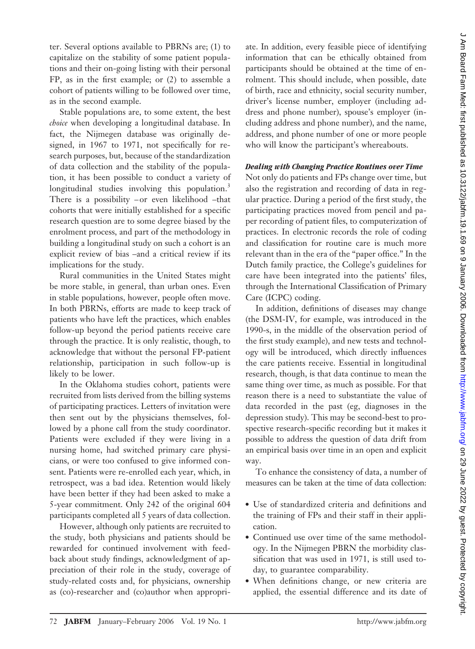ter. Several options available to PBRNs are; (1) to capitalize on the stability of some patient populations and their on-going listing with their personal FP, as in the first example; or (2) to assemble a cohort of patients willing to be followed over time, as in the second example.

Stable populations are, to some extent, the best *choice* when developing a longitudinal database. In fact, the Nijmegen database was originally designed, in 1967 to 1971, not specifically for research purposes, but, because of the standardization of data collection and the stability of the population, it has been possible to conduct a variety of longitudinal studies involving this population.<sup>3</sup> There is a possibility -or even likelihood -that cohorts that were initially established for a specific research question are to some degree biased by the enrolment process, and part of the methodology in building a longitudinal study on such a cohort is an explicit review of bias –and a critical review if its implications for the study.

Rural communities in the United States might be more stable, in general, than urban ones. Even in stable populations, however, people often move. In both PBRNs, efforts are made to keep track of patients who have left the practices, which enables follow-up beyond the period patients receive care through the practice. It is only realistic, though, to acknowledge that without the personal FP-patient relationship, participation in such follow-up is likely to be lower.

In the Oklahoma studies cohort, patients were recruited from lists derived from the billing systems of participating practices. Letters of invitation were then sent out by the physicians themselves, followed by a phone call from the study coordinator. Patients were excluded if they were living in a nursing home, had switched primary care physicians, or were too confused to give informed consent. Patients were re-enrolled each year, which, in retrospect, was a bad idea. Retention would likely have been better if they had been asked to make a 5-year commitment. Only 242 of the original 604 participants completed all 5 years of data collection.

However, although only patients are recruited to the study, both physicians and patients should be rewarded for continued involvement with feedback about study findings, acknowledgment of appreciation of their role in the study, coverage of study-related costs and, for physicians, ownership as (co)-researcher and (co)author when appropriate. In addition, every feasible piece of identifying information that can be ethically obtained from participants should be obtained at the time of enrolment. This should include, when possible, date of birth, race and ethnicity, social security number, driver's license number, employer (including address and phone number), spouse's employer (including address and phone number), and the name, address, and phone number of one or more people who will know the participant's whereabouts.

# *Dealing with Changing Practice Routines over Time*

Not only do patients and FPs change over time, but also the registration and recording of data in regular practice. During a period of the first study, the participating practices moved from pencil and paper recording of patient files, to computerization of practices. In electronic records the role of coding and classification for routine care is much more relevant than in the era of the "paper office." In the Dutch family practice, the College's guidelines for care have been integrated into the patients' files, through the International Classification of Primary Care (ICPC) coding.

In addition, definitions of diseases may change (the DSM-IV, for example, was introduced in the 1990-s, in the middle of the observation period of the first study example), and new tests and technology will be introduced, which directly influences the care patients receive. Essential in longitudinal research, though, is that data continue to mean the same thing over time, as much as possible. For that reason there is a need to substantiate the value of data recorded in the past (eg, diagnoses in the depression study). This may be second-best to prospective research-specific recording but it makes it possible to address the question of data drift from an empirical basis over time in an open and explicit way.

To enhance the consistency of data, a number of measures can be taken at the time of data collection:

- Use of standardized criteria and definitions and the training of FPs and their staff in their application.
- Continued use over time of the same methodology. In the Nijmegen PBRN the morbidity classification that was used in 1971, is still used today, to guarantee comparability.
- When definitions change, or new criteria are applied, the essential difference and its date of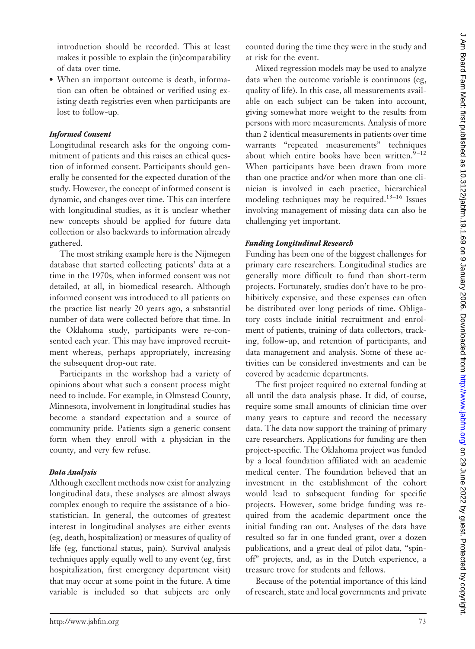introduction should be recorded. This at least makes it possible to explain the (in)comparability of data over time.

• When an important outcome is death, information can often be obtained or verified using existing death registries even when participants are lost to follow-up.

#### *Informed Consent*

Longitudinal research asks for the ongoing commitment of patients and this raises an ethical question of informed consent. Participants should generally be consented for the expected duration of the study. However, the concept of informed consent is dynamic, and changes over time. This can interfere with longitudinal studies, as it is unclear whether new concepts should be applied for future data collection or also backwards to information already gathered.

The most striking example here is the Nijmegen database that started collecting patients' data at a time in the 1970s, when informed consent was not detailed, at all, in biomedical research. Although informed consent was introduced to all patients on the practice list nearly 20 years ago, a substantial number of data were collected before that time. In the Oklahoma study, participants were re-consented each year. This may have improved recruitment whereas, perhaps appropriately, increasing the subsequent drop-out rate.

Participants in the workshop had a variety of opinions about what such a consent process might need to include. For example, in Olmstead County, Minnesota, involvement in longitudinal studies has become a standard expectation and a source of community pride. Patients sign a generic consent form when they enroll with a physician in the county, and very few refuse.

#### *Data Analysis*

Although excellent methods now exist for analyzing longitudinal data, these analyses are almost always complex enough to require the assistance of a biostatistician. In general, the outcomes of greatest interest in longitudinal analyses are either events (eg, death, hospitalization) or measures of quality of life (eg, functional status, pain). Survival analysis techniques apply equally well to any event (eg, first hospitalization, first emergency department visit) that may occur at some point in the future. A time variable is included so that subjects are only

counted during the time they were in the study and at risk for the event.

Mixed regression models may be used to analyze data when the outcome variable is continuous (eg, quality of life). In this case, all measurements available on each subject can be taken into account, giving somewhat more weight to the results from persons with more measurements. Analysis of more than 2 identical measurements in patients over time warrants "repeated measurements" techniques about which entire books have been written. $9-12$ When participants have been drawn from more than one practice and/or when more than one clinician is involved in each practice, hierarchical modeling techniques may be required. $13-16$  Issues involving management of missing data can also be challenging yet important.

### *Funding Longitudinal Research*

Funding has been one of the biggest challenges for primary care researchers. Longitudinal studies are generally more difficult to fund than short-term projects. Fortunately, studies don't have to be prohibitively expensive, and these expenses can often be distributed over long periods of time. Obligatory costs include initial recruitment and enrolment of patients, training of data collectors, tracking, follow-up, and retention of participants, and data management and analysis. Some of these activities can be considered investments and can be covered by academic departments.

The first project required no external funding at all until the data analysis phase. It did, of course, require some small amounts of clinician time over many years to capture and record the necessary data. The data now support the training of primary care researchers. Applications for funding are then project-specific. The Oklahoma project was funded by a local foundation affiliated with an academic medical center. The foundation believed that an investment in the establishment of the cohort would lead to subsequent funding for specific projects. However, some bridge funding was required from the academic department once the initial funding ran out. Analyses of the data have resulted so far in one funded grant, over a dozen publications, and a great deal of pilot data, "spinoff" projects, and, as in the Dutch experience, a treasure trove for students and fellows.

Because of the potential importance of this kind of research, state and local governments and private